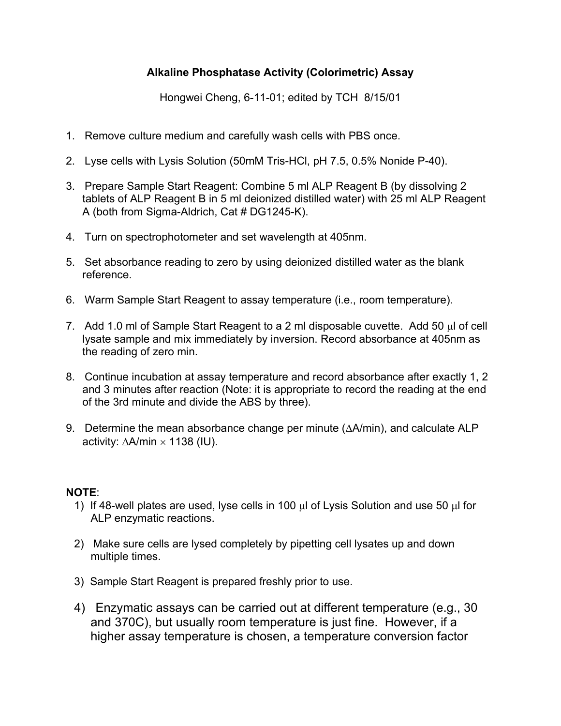## **Alkaline Phosphatase Activity (Colorimetric) Assay**

Hongwei Cheng, 6-11-01; edited by TCH 8/15/01

- 1. Remove culture medium and carefully wash cells with PBS once.
- 2. Lyse cells with Lysis Solution (50mM Tris-HCl, pH 7.5, 0.5% Nonide P-40).
- 3. Prepare Sample Start Reagent: Combine 5 ml ALP Reagent B (by dissolving 2 tablets of ALP Reagent B in 5 ml deionized distilled water) with 25 ml ALP Reagent A (both from Sigma-Aldrich, Cat # DG1245-K).
- 4. Turn on spectrophotometer and set wavelength at 405nm.
- 5. Set absorbance reading to zero by using deionized distilled water as the blank reference.
- 6. Warm Sample Start Reagent to assay temperature (i.e., room temperature).
- 7. Add 1.0 ml of Sample Start Reagent to a 2 ml disposable cuvette. Add 50  $\mu$ l of cell lysate sample and mix immediately by inversion. Record absorbance at 405nm as the reading of zero min.
- 8. Continue incubation at assay temperature and record absorbance after exactly 1, 2 and 3 minutes after reaction (Note: it is appropriate to record the reading at the end of the 3rd minute and divide the ABS by three).
- 9. Determine the mean absorbance change per minute  $(\Delta A/\text{min})$ , and calculate ALP activity:  $\Delta A/min \times 1138$  (IU).

## **NOTE**:

- 1) If 48-well plates are used, lyse cells in 100  $\mu$  of Lysis Solution and use 50  $\mu$  for ALP enzymatic reactions.
- 2) Make sure cells are lysed completely by pipetting cell lysates up and down multiple times.
- 3) Sample Start Reagent is prepared freshly prior to use.
- 4) Enzymatic assays can be carried out at different temperature (e.g., 30 and 370C), but usually room temperature is just fine. However, if a higher assay temperature is chosen, a temperature conversion factor